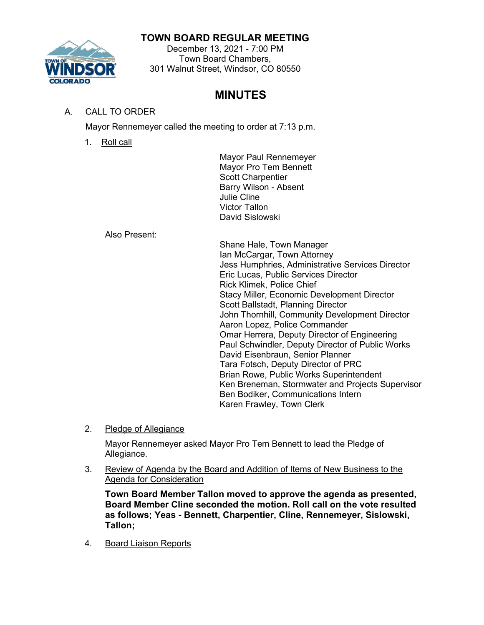# **TOWN BOARD REGULAR MEETING**



#### December 13, 2021 - 7:00 PM Town Board Chambers, 301 Walnut Street, Windsor, CO 80550

# **MINUTES**

# A. CALL TO ORDER

Mayor Rennemeyer called the meeting to order at 7:13 p.m.

1. Roll call

Mayor Paul Rennemeyer Mayor Pro Tem Bennett Scott Charpentier Barry Wilson - Absent Julie Cline Victor Tallon David Sislowski

Also Present:

Shane Hale, Town Manager Ian McCargar, Town Attorney Jess Humphries, Administrative Services Director Eric Lucas, Public Services Director Rick Klimek, Police Chief Stacy Miller, Economic Development Director Scott Ballstadt, Planning Director John Thornhill, Community Development Director Aaron Lopez, Police Commander Omar Herrera, Deputy Director of Engineering Paul Schwindler, Deputy Director of Public Works David Eisenbraun, Senior Planner Tara Fotsch, Deputy Director of PRC Brian Rowe, Public Works Superintendent Ken Breneman, Stormwater and Projects Supervisor Ben Bodiker, Communications Intern Karen Frawley, Town Clerk

2. Pledge of Allegiance

Mayor Rennemeyer asked Mayor Pro Tem Bennett to lead the Pledge of Allegiance.

3. Review of Agenda by the Board and Addition of Items of New Business to the Agenda for Consideration

**Town Board Member Tallon moved to approve the agenda as presented, Board Member Cline seconded the motion. Roll call on the vote resulted as follows; Yeas - Bennett, Charpentier, Cline, Rennemeyer, Sislowski, Tallon;**

4. Board Liaison Reports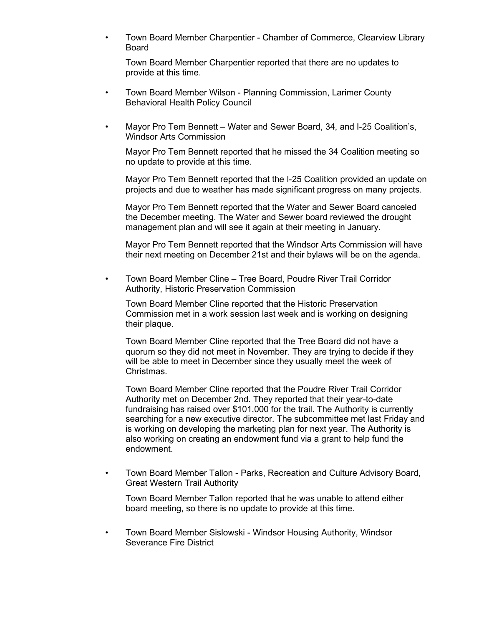• Town Board Member Charpentier - Chamber of Commerce, Clearview Library Board

Town Board Member Charpentier reported that there are no updates to provide at this time.

- Town Board Member Wilson Planning Commission, Larimer County Behavioral Health Policy Council
- Mayor Pro Tem Bennett Water and Sewer Board, 34, and I-25 Coalition's, Windsor Arts Commission

Mayor Pro Tem Bennett reported that he missed the 34 Coalition meeting so no update to provide at this time.

Mayor Pro Tem Bennett reported that the I-25 Coalition provided an update on projects and due to weather has made significant progress on many projects.

Mayor Pro Tem Bennett reported that the Water and Sewer Board canceled the December meeting. The Water and Sewer board reviewed the drought management plan and will see it again at their meeting in January.

Mayor Pro Tem Bennett reported that the Windsor Arts Commission will have their next meeting on December 21st and their bylaws will be on the agenda.

• Town Board Member Cline – Tree Board, Poudre River Trail Corridor Authority, Historic Preservation Commission

Town Board Member Cline reported that the Historic Preservation Commission met in a work session last week and is working on designing their plaque.

Town Board Member Cline reported that the Tree Board did not have a quorum so they did not meet in November. They are trying to decide if they will be able to meet in December since they usually meet the week of Christmas.

Town Board Member Cline reported that the Poudre River Trail Corridor Authority met on December 2nd. They reported that their year-to-date fundraising has raised over \$101,000 for the trail. The Authority is currently searching for a new executive director. The subcommittee met last Friday and is working on developing the marketing plan for next year. The Authority is also working on creating an endowment fund via a grant to help fund the endowment.

• Town Board Member Tallon - Parks, Recreation and Culture Advisory Board, Great Western Trail Authority

Town Board Member Tallon reported that he was unable to attend either board meeting, so there is no update to provide at this time.

• Town Board Member Sislowski - Windsor Housing Authority, Windsor Severance Fire District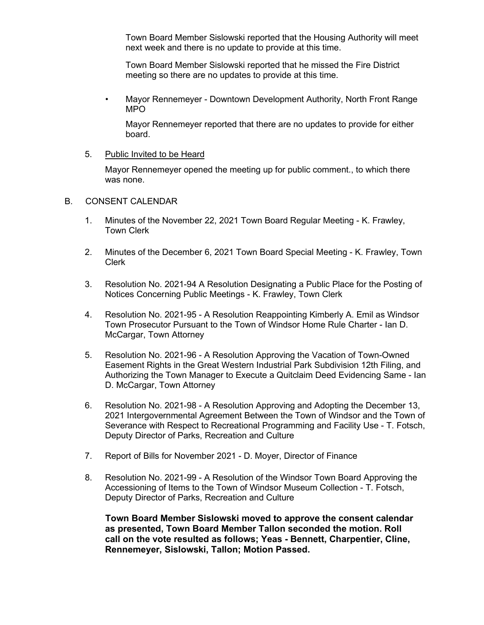Town Board Member Sislowski reported that the Housing Authority will meet next week and there is no update to provide at this time.

Town Board Member Sislowski reported that he missed the Fire District meeting so there are no updates to provide at this time.

• Mayor Rennemeyer - Downtown Development Authority, North Front Range MPO

Mayor Rennemeyer reported that there are no updates to provide for either board.

#### 5. Public Invited to be Heard

Mayor Rennemeyer opened the meeting up for public comment., to which there was none.

#### B. CONSENT CALENDAR

- 1. Minutes of the November 22, 2021 Town Board Regular Meeting K. Frawley, Town Clerk
- 2. Minutes of the December 6, 2021 Town Board Special Meeting K. Frawley, Town Clerk
- 3. Resolution No. 2021-94 A Resolution Designating a Public Place for the Posting of Notices Concerning Public Meetings - K. Frawley, Town Clerk
- 4. Resolution No. 2021-95 A Resolution Reappointing Kimberly A. Emil as Windsor Town Prosecutor Pursuant to the Town of Windsor Home Rule Charter - Ian D. McCargar, Town Attorney
- 5. Resolution No. 2021-96 A Resolution Approving the Vacation of Town-Owned Easement Rights in the Great Western Industrial Park Subdivision 12th Filing, and Authorizing the Town Manager to Execute a Quitclaim Deed Evidencing Same - Ian D. McCargar, Town Attorney
- 6. Resolution No. 2021-98 A Resolution Approving and Adopting the December 13, 2021 Intergovernmental Agreement Between the Town of Windsor and the Town of Severance with Respect to Recreational Programming and Facility Use - T. Fotsch, Deputy Director of Parks, Recreation and Culture
- 7. Report of Bills for November 2021 D. Moyer, Director of Finance
- 8. Resolution No. 2021-99 A Resolution of the Windsor Town Board Approving the Accessioning of Items to the Town of Windsor Museum Collection - T. Fotsch, Deputy Director of Parks, Recreation and Culture

**Town Board Member Sislowski moved to approve the consent calendar as presented, Town Board Member Tallon seconded the motion. Roll call on the vote resulted as follows; Yeas - Bennett, Charpentier, Cline, Rennemeyer, Sislowski, Tallon; Motion Passed.**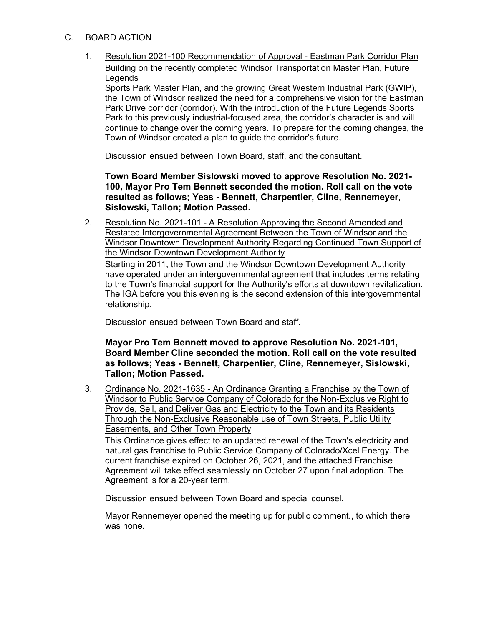- C. BOARD ACTION
	- 1. Resolution 2021-100 Recommendation of Approval Eastman Park Corridor Plan Building on the recently completed Windsor Transportation Master Plan, Future Legends

Sports Park Master Plan, and the growing Great Western Industrial Park (GWIP), the Town of Windsor realized the need for a comprehensive vision for the Eastman Park Drive corridor (corridor). With the introduction of the Future Legends Sports Park to this previously industrial-focused area, the corridor's character is and will continue to change over the coming years. To prepare for the coming changes, the Town of Windsor created a plan to guide the corridor's future.

Discussion ensued between Town Board, staff, and the consultant.

**Town Board Member Sislowski moved to approve Resolution No. 2021- 100, Mayor Pro Tem Bennett seconded the motion. Roll call on the vote resulted as follows; Yeas - Bennett, Charpentier, Cline, Rennemeyer, Sislowski, Tallon; Motion Passed.**

2. Resolution No. 2021-101 - A Resolution Approving the Second Amended and Restated Intergovernmental Agreement Between the Town of Windsor and the Windsor Downtown Development Authority Regarding Continued Town Support of the Windsor Downtown Development Authority

Starting in 2011, the Town and the Windsor Downtown Development Authority have operated under an intergovernmental agreement that includes terms relating to the Town's financial support for the Authority's efforts at downtown revitalization. The IGA before you this evening is the second extension of this intergovernmental relationship.

Discussion ensued between Town Board and staff.

### **Mayor Pro Tem Bennett moved to approve Resolution No. 2021-101, Board Member Cline seconded the motion. Roll call on the vote resulted as follows; Yeas - Bennett, Charpentier, Cline, Rennemeyer, Sislowski, Tallon; Motion Passed.**

3. Ordinance No. 2021-1635 - An Ordinance Granting a Franchise by the Town of Windsor to Public Service Company of Colorado for the Non-Exclusive Right to Provide, Sell, and Deliver Gas and Electricity to the Town and its Residents Through the Non-Exclusive Reasonable use of Town Streets, Public Utility Easements, and Other Town Property

This Ordinance gives effect to an updated renewal of the Town's electricity and natural gas franchise to Public Service Company of Colorado/Xcel Energy. The current franchise expired on October 26, 2021, and the attached Franchise Agreement will take effect seamlessly on October 27 upon final adoption. The Agreement is for a 20-year term.

Discussion ensued between Town Board and special counsel.

Mayor Rennemeyer opened the meeting up for public comment., to which there was none.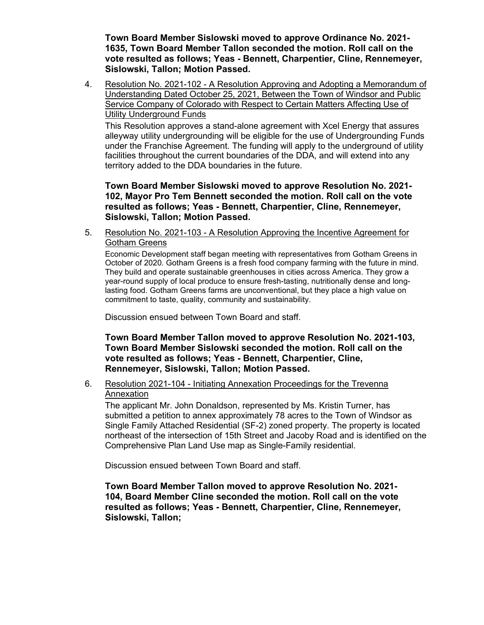**Town Board Member Sislowski moved to approve Ordinance No. 2021- 1635, Town Board Member Tallon seconded the motion. Roll call on the vote resulted as follows; Yeas - Bennett, Charpentier, Cline, Rennemeyer, Sislowski, Tallon; Motion Passed.**

4. Resolution No. 2021-102 - A Resolution Approving and Adopting a Memorandum of Understanding Dated October 25, 2021, Between the Town of Windsor and Public Service Company of Colorado with Respect to Certain Matters Affecting Use of Utility Underground Funds

This Resolution approves a stand-alone agreement with Xcel Energy that assures alleyway utility undergrounding will be eligible for the use of Undergrounding Funds under the Franchise Agreement. The funding will apply to the underground of utility facilities throughout the current boundaries of the DDA, and will extend into any territory added to the DDA boundaries in the future.

**Town Board Member Sislowski moved to approve Resolution No. 2021- 102, Mayor Pro Tem Bennett seconded the motion. Roll call on the vote resulted as follows; Yeas - Bennett, Charpentier, Cline, Rennemeyer, Sislowski, Tallon; Motion Passed.**

5. Resolution No. 2021-103 - A Resolution Approving the Incentive Agreement for Gotham Greens

Economic Development staff began meeting with representatives from Gotham Greens in October of 2020. Gotham Greens is a fresh food company farming with the future in mind. They build and operate sustainable greenhouses in cities across America. They grow a year-round supply of local produce to ensure fresh-tasting, nutritionally dense and longlasting food. Gotham Greens farms are unconventional, but they place a high value on commitment to taste, quality, community and sustainability.

Discussion ensued between Town Board and staff.

**Town Board Member Tallon moved to approve Resolution No. 2021-103, Town Board Member Sislowski seconded the motion. Roll call on the vote resulted as follows; Yeas - Bennett, Charpentier, Cline, Rennemeyer, Sislowski, Tallon; Motion Passed.**

## 6. Resolution 2021-104 - Initiating Annexation Proceedings for the Trevenna Annexation

The applicant Mr. John Donaldson, represented by Ms. Kristin Turner, has submitted a petition to annex approximately 78 acres to the Town of Windsor as Single Family Attached Residential (SF-2) zoned property. The property is located northeast of the intersection of 15th Street and Jacoby Road and is identified on the Comprehensive Plan Land Use map as Single-Family residential.

Discussion ensued between Town Board and staff.

**Town Board Member Tallon moved to approve Resolution No. 2021- 104, Board Member Cline seconded the motion. Roll call on the vote resulted as follows; Yeas - Bennett, Charpentier, Cline, Rennemeyer, Sislowski, Tallon;**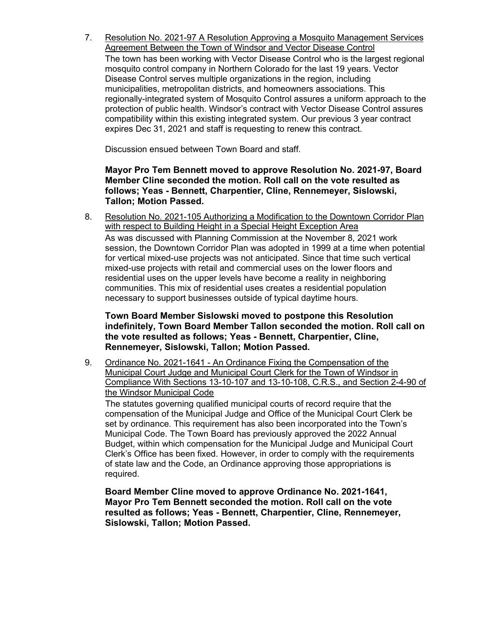7. Resolution No. 2021-97 A Resolution Approving a Mosquito Management Services Agreement Between the Town of Windsor and Vector Disease Control

The town has been working with Vector Disease Control who is the largest regional mosquito control company in Northern Colorado for the last 19 years. Vector Disease Control serves multiple organizations in the region, including municipalities, metropolitan districts, and homeowners associations. This regionally-integrated system of Mosquito Control assures a uniform approach to the protection of public health. Windsor's contract with Vector Disease Control assures compatibility within this existing integrated system. Our previous 3 year contract expires Dec 31, 2021 and staff is requesting to renew this contract.

Discussion ensued between Town Board and staff.

**Mayor Pro Tem Bennett moved to approve Resolution No. 2021-97, Board Member Cline seconded the motion. Roll call on the vote resulted as follows; Yeas - Bennett, Charpentier, Cline, Rennemeyer, Sislowski, Tallon; Motion Passed.**

8. Resolution No. 2021-105 Authorizing a Modification to the Downtown Corridor Plan with respect to Building Height in a Special Height Exception Area As was discussed with Planning Commission at the November 8, 2021 work session, the Downtown Corridor Plan was adopted in 1999 at a time when potential for vertical mixed-use projects was not anticipated. Since that time such vertical mixed-use projects with retail and commercial uses on the lower floors and residential uses on the upper levels have become a reality in neighboring communities. This mix of residential uses creates a residential population necessary to support businesses outside of typical daytime hours.

**Town Board Member Sislowski moved to postpone this Resolution indefinitely, Town Board Member Tallon seconded the motion. Roll call on the vote resulted as follows; Yeas - Bennett, Charpentier, Cline, Rennemeyer, Sislowski, Tallon; Motion Passed.**

9. Ordinance No. 2021-1641 - An Ordinance Fixing the Compensation of the Municipal Court Judge and Municipal Court Clerk for the Town of Windsor in Compliance With Sections 13-10-107 and 13-10-108, C.R.S., and Section 2-4-90 of the Windsor Municipal Code

The statutes governing qualified municipal courts of record require that the compensation of the Municipal Judge and Office of the Municipal Court Clerk be set by ordinance. This requirement has also been incorporated into the Town's Municipal Code. The Town Board has previously approved the 2022 Annual Budget, within which compensation for the Municipal Judge and Municipal Court Clerk's Office has been fixed. However, in order to comply with the requirements of state law and the Code, an Ordinance approving those appropriations is required.

**Board Member Cline moved to approve Ordinance No. 2021-1641, Mayor Pro Tem Bennett seconded the motion. Roll call on the vote resulted as follows; Yeas - Bennett, Charpentier, Cline, Rennemeyer, Sislowski, Tallon; Motion Passed.**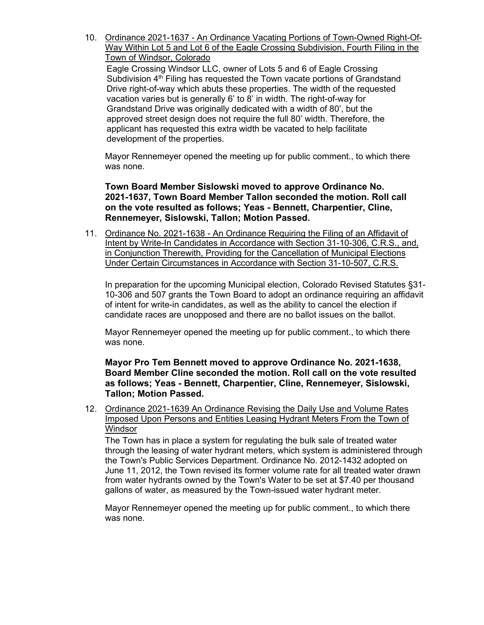10. Ordinance 2021-1637 - An Ordinance Vacating Portions of Town-Owned Right-Of-Way Within Lot 5 and Lot 6 of the Eagle Crossing Subdivision, Fourth Filing in the Town of Windsor, Colorado

Eagle Crossing Windsor LLC, owner of Lots 5 and 6 of Eagle Crossing Subdivision  $4<sup>th</sup>$  Filing has requested the Town vacate portions of Grandstand Drive right-of-way which abuts these properties. The width of the requested vacation varies but is generally 6' to 8' in width. The right-of-way for Grandstand Drive was originally dedicated with a width of 80', but the approved street design does not require the full 80' width. Therefore, the applicant has requested this extra width be vacated to help facilitate development of the properties.

Mayor Rennemeyer opened the meeting up for public comment., to which there was none.

**Town Board Member Sislowski moved to approve Ordinance No. 2021-1637, Town Board Member Tallon seconded the motion. Roll call on the vote resulted as follows; Yeas - Bennett, Charpentier, Cline, Rennemeyer, Sislowski, Tallon; Motion Passed.**

11. Ordinance No. 2021-1638 - An Ordinance Requiring the Filing of an Affidavit of Intent by Write-In Candidates in Accordance with Section 31-10-306, C.R.S., and, in Conjunction Therewith, Providing for the Cancellation of Municipal Elections Under Certain Circumstances in Accordance with Section 31-10-507, C.R.S.

In preparation for the upcoming Municipal election, Colorado Revised Statutes §31- 10-306 and 507 grants the Town Board to adopt an ordinance requiring an affidavit of intent for write-in candidates, as well as the ability to cancel the election if candidate races are unopposed and there are no ballot issues on the ballot.

Mayor Rennemeyer opened the meeting up for public comment., to which there was none.

**Mayor Pro Tem Bennett moved to approve Ordinance No. 2021-1638, Board Member Cline seconded the motion. Roll call on the vote resulted as follows; Yeas - Bennett, Charpentier, Cline, Rennemeyer, Sislowski, Tallon; Motion Passed.**

12. Ordinance 2021-1639 An Ordinance Revising the Daily Use and Volume Rates Imposed Upon Persons and Entities Leasing Hydrant Meters From the Town of **Windsor** 

The Town has in place a system for regulating the bulk sale of treated water through the leasing of water hydrant meters, which system is administered through the Town's Public Services Department. Ordinance No. 2012-1432 adopted on June 11, 2012, the Town revised its former volume rate for all treated water drawn from water hydrants owned by the Town's Water to be set at \$7.40 per thousand gallons of water, as measured by the Town-issued water hydrant meter.

Mayor Rennemeyer opened the meeting up for public comment., to which there was none.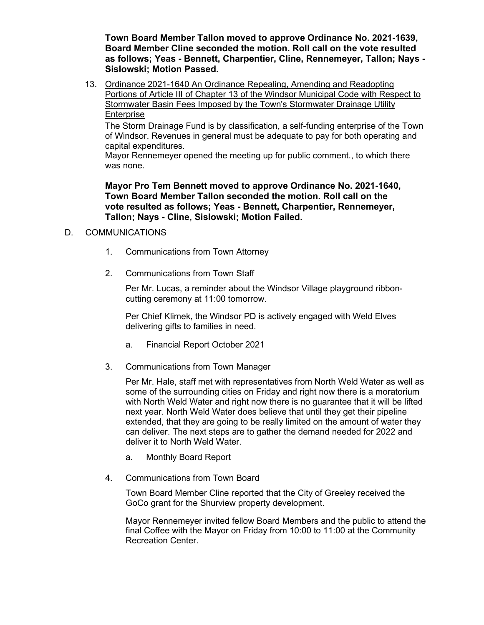**Town Board Member Tallon moved to approve Ordinance No. 2021-1639, Board Member Cline seconded the motion. Roll call on the vote resulted as follows; Yeas - Bennett, Charpentier, Cline, Rennemeyer, Tallon; Nays - Sislowski; Motion Passed.**

13. Ordinance 2021-1640 An Ordinance Repealing, Amending and Readopting Portions of Article III of Chapter 13 of the Windsor Municipal Code with Respect to Stormwater Basin Fees Imposed by the Town's Stormwater Drainage Utility Enterprise

The Storm Drainage Fund is by classification, a self-funding enterprise of the Town of Windsor. Revenues in general must be adequate to pay for both operating and capital expenditures.

Mayor Rennemeyer opened the meeting up for public comment., to which there was none.

**Mayor Pro Tem Bennett moved to approve Ordinance No. 2021-1640, Town Board Member Tallon seconded the motion. Roll call on the vote resulted as follows; Yeas - Bennett, Charpentier, Rennemeyer, Tallon; Nays - Cline, Sislowski; Motion Failed.**

# D. COMMUNICATIONS

- 1. Communications from Town Attorney
- 2. Communications from Town Staff

Per Mr. Lucas, a reminder about the Windsor Village playground ribboncutting ceremony at 11:00 tomorrow.

Per Chief Klimek, the Windsor PD is actively engaged with Weld Elves delivering gifts to families in need.

- a. Financial Report October 2021
- 3. Communications from Town Manager

Per Mr. Hale, staff met with representatives from North Weld Water as well as some of the surrounding cities on Friday and right now there is a moratorium with North Weld Water and right now there is no guarantee that it will be lifted next year. North Weld Water does believe that until they get their pipeline extended, that they are going to be really limited on the amount of water they can deliver. The next steps are to gather the demand needed for 2022 and deliver it to North Weld Water.

- a. Monthly Board Report
- 4. Communications from Town Board

Town Board Member Cline reported that the City of Greeley received the GoCo grant for the Shurview property development.

Mayor Rennemeyer invited fellow Board Members and the public to attend the final Coffee with the Mayor on Friday from 10:00 to 11:00 at the Community Recreation Center.